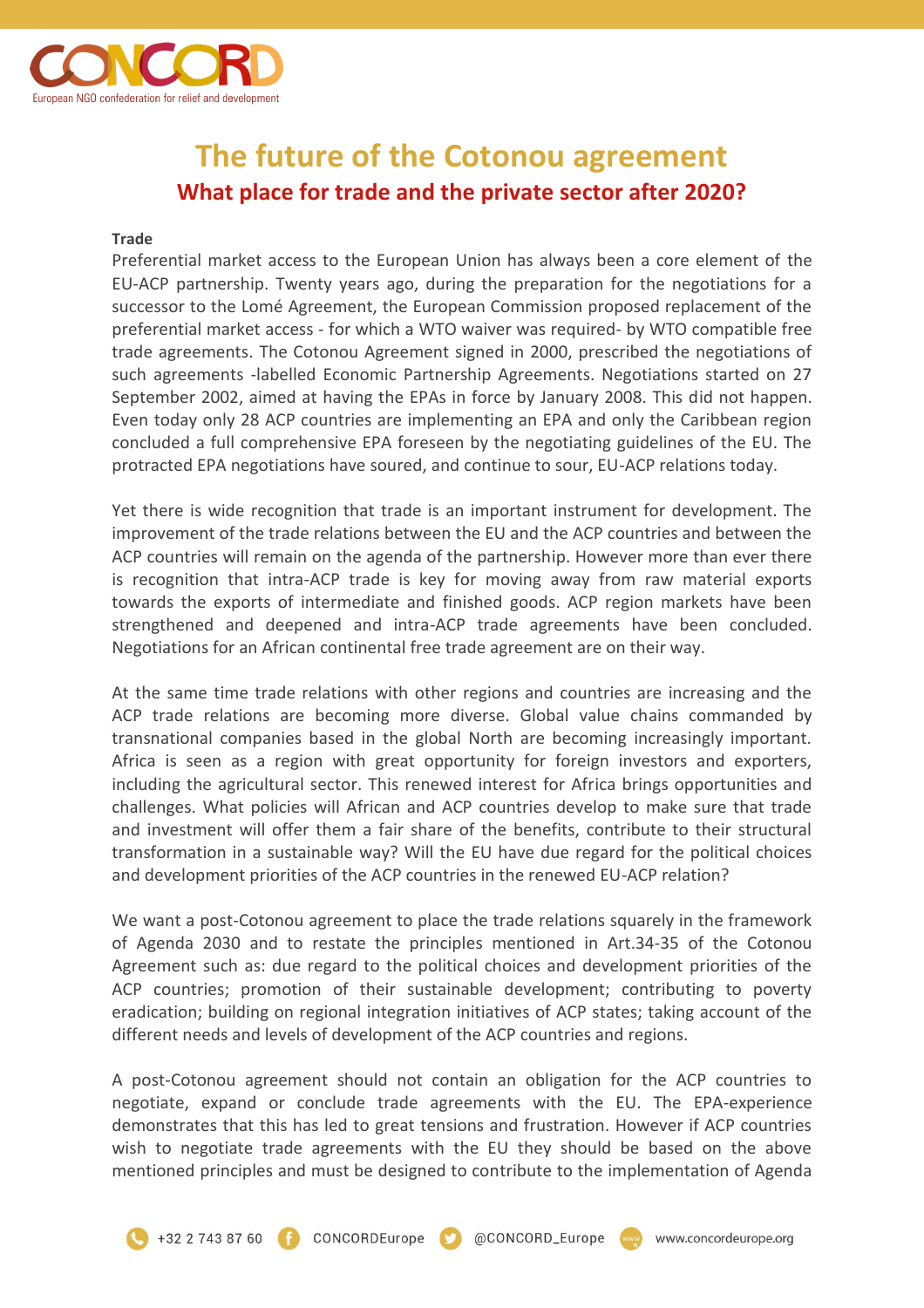

## **The future of the Cotonou agreement What place for trade and the private sector after 2020?**

## **Trade**

Preferential market access to the European Union has always been a core element of the EU-ACP partnership. Twenty years ago, during the preparation for the negotiations for a successor to the Lomé Agreement, the European Commission proposed replacement of the preferential market access - for which a WTO waiver was required- by WTO compatible free trade agreements. The Cotonou Agreement signed in 2000, prescribed the negotiations of such agreements -labelled Economic Partnership Agreements. Negotiations started on 27 September 2002, aimed at having the EPAs in force by January 2008. This did not happen. Even today only 28 ACP countries are implementing an EPA and only the Caribbean region concluded a full comprehensive EPA foreseen by the negotiating guidelines of the EU. The protracted EPA negotiations have soured, and continue to sour, EU-ACP relations today.

Yet there is wide recognition that trade is an important instrument for development. The improvement of the trade relations between the EU and the ACP countries and between the ACP countries will remain on the agenda of the partnership. However more than ever there is recognition that intra-ACP trade is key for moving away from raw material exports towards the exports of intermediate and finished goods. ACP region markets have been strengthened and deepened and intra-ACP trade agreements have been concluded. Negotiations for an African continental free trade agreement are on their way.

At the same time trade relations with other regions and countries are increasing and the ACP trade relations are becoming more diverse. Global value chains commanded by transnational companies based in the global North are becoming increasingly important. Africa is seen as a region with great opportunity for foreign investors and exporters, including the agricultural sector. This renewed interest for Africa brings opportunities and challenges. What policies will African and ACP countries develop to make sure that trade and investment will offer them a fair share of the benefits, contribute to their structural transformation in a sustainable way? Will the EU have due regard for the political choices and development priorities of the ACP countries in the renewed EU-ACP relation?

We want a post-Cotonou agreement to place the trade relations squarely in the framework of Agenda 2030 and to restate the principles mentioned in Art.34-35 of the Cotonou Agreement such as: due regard to the political choices and development priorities of the ACP countries; promotion of their sustainable development; contributing to poverty eradication; building on regional integration initiatives of ACP states; taking account of the different needs and levels of development of the ACP countries and regions.

A post-Cotonou agreement should not contain an obligation for the ACP countries to negotiate, expand or conclude trade agreements with the EU. The EPA-experience demonstrates that this has led to great tensions and frustration. However if ACP countries wish to negotiate trade agreements with the EU they should be based on the above mentioned principles and must be designed to contribute to the implementation of Agenda

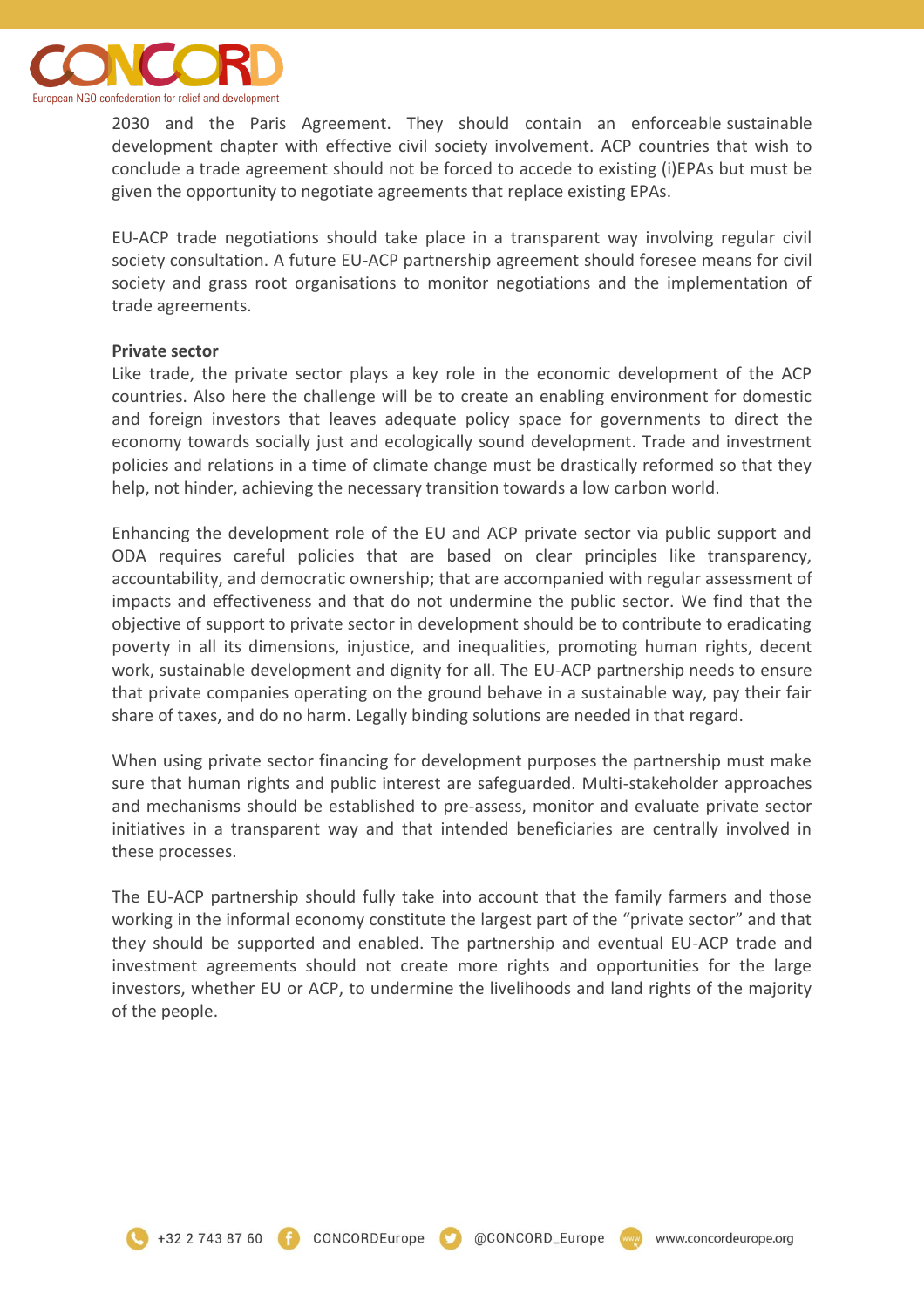

2030 and the Paris Agreement. They should contain an enforceable sustainable development chapter with effective civil society involvement. ACP countries that wish to conclude a trade agreement should not be forced to accede to existing (i)EPAs but must be given the opportunity to negotiate agreements that replace existing EPAs.

EU-ACP trade negotiations should take place in a transparent way involving regular civil society consultation. A future EU-ACP partnership agreement should foresee means for civil society and grass root organisations to monitor negotiations and the implementation of trade agreements.

## **Private sector**

Like trade, the private sector plays a key role in the economic development of the ACP countries. Also here the challenge will be to create an enabling environment for domestic and foreign investors that leaves adequate policy space for governments to direct the economy towards socially just and ecologically sound development. Trade and investment policies and relations in a time of climate change must be drastically reformed so that they help, not hinder, achieving the necessary transition towards a low carbon world.

Enhancing the development role of the EU and ACP private sector via public support and ODA requires careful policies that are based on clear principles like transparency, accountability, and democratic ownership; that are accompanied with regular assessment of impacts and effectiveness and that do not undermine the public sector. We find that the objective of support to private sector in development should be to contribute to eradicating poverty in all its dimensions, injustice, and inequalities, promoting human rights, decent work, sustainable development and dignity for all. The EU-ACP partnership needs to ensure that private companies operating on the ground behave in a sustainable way, pay their fair share of taxes, and do no harm. Legally binding solutions are needed in that regard.

When using private sector financing for development purposes the partnership must make sure that human rights and public interest are safeguarded. Multi-stakeholder approaches and mechanisms should be established to pre-assess, monitor and evaluate private sector initiatives in a transparent way and that intended beneficiaries are centrally involved in these processes.

The EU-ACP partnership should fully take into account that the family farmers and those working in the informal economy constitute the largest part of the "private sector" and that they should be supported and enabled. The partnership and eventual EU-ACP trade and investment agreements should not create more rights and opportunities for the large investors, whether EU or ACP, to undermine the livelihoods and land rights of the majority of the people.